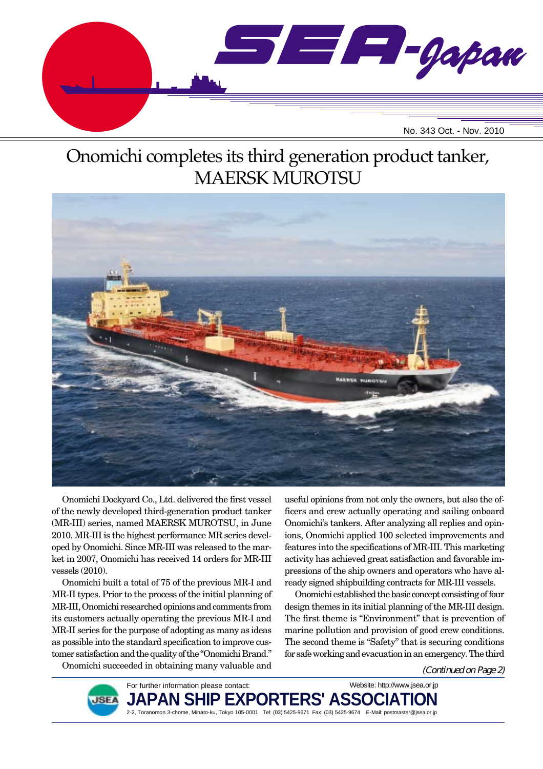

# Onomichi completes its third generation product tanker, MAERSK MUROTSU



Onomichi Dockyard Co., Ltd. delivered the first vessel of the newly developed third-generation product tanker (MR-III) series, named MAERSK MUROTSU, in June 2010. MR-III is the highest performance MR series developed by Onomichi. Since MR-III was released to the market in 2007, Onomichi has received 14 orders for MR-III vessels (2010).

Onomichi built a total of 75 of the previous MR-I and MR-II types. Prior to the process of the initial planning of MR-III, Onomichi researched opinions and comments from its customers actually operating the previous MR-I and MR-II series for the purpose of adopting as many as ideas as possible into the standard specification to improve customer satisfaction and the quality of the "Onomichi Brand."

useful opinions from not only the owners, but also the officers and crew actually operating and sailing onboard Onomichi's tankers. After analyzing all replies and opinions, Onomichi applied 100 selected improvements and features into the specifications of MR-III. This marketing activity has achieved great satisfaction and favorable impressions of the ship owners and operators who have already signed shipbuilding contracts for MR-III vessels.

Onomichi established the basic concept consisting of four design themes in its initial planning of the MR-III design. The first theme is "Environment" that is prevention of marine pollution and provision of good crew conditions. The second theme is "Safety" that is securing conditions for safe working and evacuation in an emergency. The third

Onomichi succeeded in obtaining many valuable and

(Continued on Page 2)



For further information please contact: PAN SHIP EXPORTERS' ASSO 2-2, Toranomon 3-chome, Minato-ku, Tokyo 105-0001 Tel: (03) 5425-9671 Fax: (03) 5425-9674 E-Mail: postmaster@jsea.or.jp Website: http://www.jsea.or.jp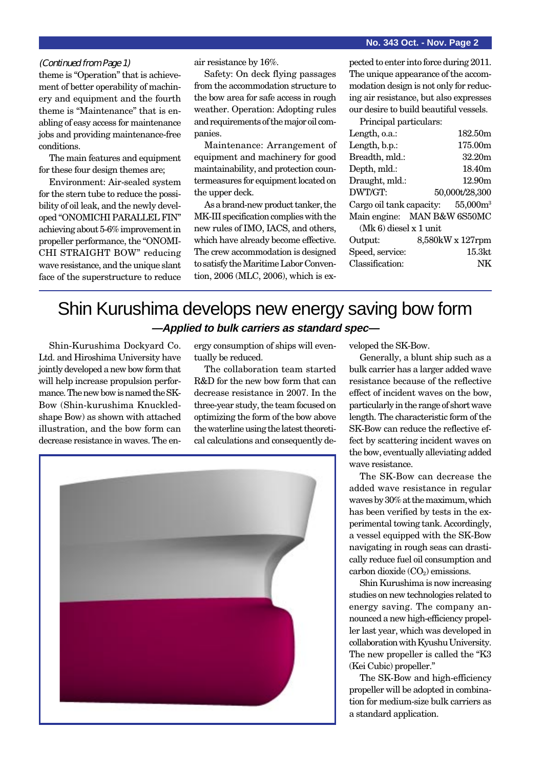#### **No. 343 Oct. - Nov. Page 2**

#### (Continued from Page 1)

theme is "Operation" that is achievement of better operability of machinery and equipment and the fourth theme is "Maintenance" that is enabling of easy access for maintenance jobs and providing maintenance-free conditions.

The main features and equipment for these four design themes are;

Environment: Air-sealed system for the stern tube to reduce the possibility of oil leak, and the newly developed "ONOMICHI PARALLEL FIN" achieving about 5-6% improvement in propeller performance, the "ONOMI-CHI STRAIGHT BOW" reducing wave resistance, and the unique slant face of the superstructure to reduce

air resistance by 16%.

Safety: On deck flying passages from the accommodation structure to the bow area for safe access in rough weather. Operation: Adopting rules and requirements of the major oil companies.

Maintenance: Arrangement of equipment and machinery for good maintainability, and protection countermeasures for equipment located on the upper deck.

As a brand-new product tanker, the MK-III specification complies with the new rules of IMO, IACS, and others, which have already become effective. The crew accommodation is designed to satisfy the Maritime Labor Convention, 2006 (MLC, 2006), which is ex-

pected to enter into force during 2011. The unique appearance of the accommodation design is not only for reducing air resistance, but also expresses our desire to build beautiful vessels.

Principal particulars: Length, o.a.: 182.50m Length, b.p.: 175.00m Breadth, mld.: 32.20m Depth, mld.: 18.40m Draught, mld.: 12.90m DWT/GT: 50,000t/28,300 Cargo oil tank capacity: 55,000m<sup>3</sup> Main engine: MAN B&W 6S50MC (Mk 6) diesel x 1 unit Output: 8,580kW x 127rpm Speed, service: 15.3kt Classification: NK

## Shin Kurushima develops new energy saving bow form **—Applied to bulk carriers as standard spec—**

Shin-Kurushima Dockyard Co. Ltd. and Hiroshima University have jointly developed a new bow form that will help increase propulsion performance. The new bow is named the SK-Bow (Shin-kurushima Knuckledshape Bow) as shown with attached illustration, and the bow form can decrease resistance in waves. The energy consumption of ships will eventually be reduced.

The collaboration team started R&D for the new bow form that can decrease resistance in 2007. In the three-year study, the team focused on optimizing the form of the bow above the waterline using the latest theoretical calculations and consequently de-



veloped the SK-Bow.

Generally, a blunt ship such as a bulk carrier has a larger added wave resistance because of the reflective effect of incident waves on the bow, particularly in the range of short wave length. The characteristic form of the SK-Bow can reduce the reflective effect by scattering incident waves on the bow, eventually alleviating added wave resistance.

The SK-Bow can decrease the added wave resistance in regular waves by 30% at the maximum, which has been verified by tests in the experimental towing tank. Accordingly, a vessel equipped with the SK-Bow navigating in rough seas can drastically reduce fuel oil consumption and carbon dioxide  $(CO<sub>2</sub>)$  emissions.

Shin Kurushima is now increasing studies on new technologies related to energy saving. The company announced a new high-efficiency propeller last year, which was developed in collaboration with Kyushu University. The new propeller is called the "K3 (Kei Cubic) propeller."

The SK-Bow and high-efficiency propeller will be adopted in combination for medium-size bulk carriers as a standard application.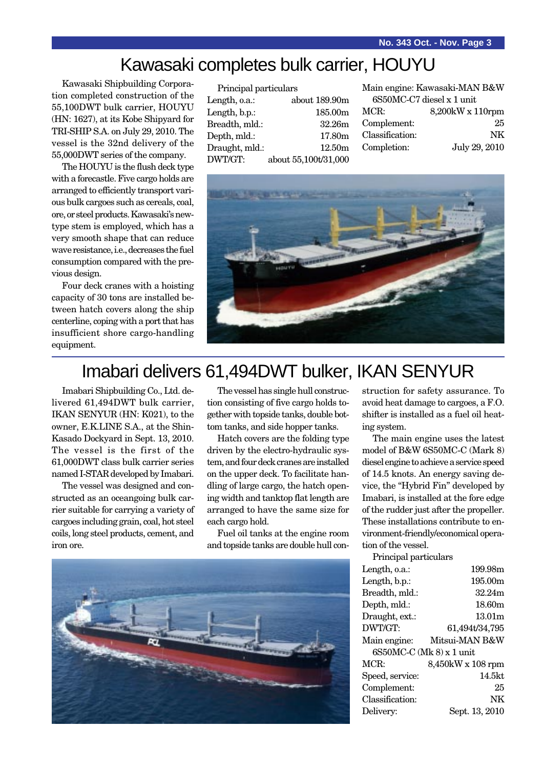# Kawasaki completes bulk carrier, HOUYU

Kawasaki Shipbuilding Corporation completed construction of the 55,100DWT bulk carrier, HOUYU (HN: 1627), at its Kobe Shipyard for TRI-SHIP S.A. on July 29, 2010. The vessel is the 32nd delivery of the 55,000DWT series of the company.

The HOUYU is the flush deck type with a forecastle. Five cargo holds are arranged to efficiently transport various bulk cargoes such as cereals, coal, ore, or steel products. Kawasaki's newtype stem is employed, which has a very smooth shape that can reduce wave resistance, i.e., decreases the fuel consumption compared with the previous design.

Four deck cranes with a hoisting capacity of 30 tons are installed between hatch covers along the ship centerline, coping with a port that has insufficient shore cargo-handling equipment.

| Principal particulars |                      | M  |
|-----------------------|----------------------|----|
| Length, o.a.:         | about 189.90m        |    |
| Length, b.p.:         | 185.00m              | M  |
| Breadth, mld.:        | 32.26m               | C. |
| Depth, mld.:          | 17.80 <sub>m</sub>   | С  |
| Draught, mld.:        | 12.50m               | C. |
| DWT/GT:               | about 55,100t/31,000 |    |
|                       |                      |    |

|                           | Main engine: Kawasaki-MAN B&W |  |
|---------------------------|-------------------------------|--|
| 6S50MC-C7 diesel x 1 unit |                               |  |
| MCR:                      | 8,200kW x 110rpm              |  |
| Complement:               | 25                            |  |
| Classification:           | NK.                           |  |
| Completion:               | July 29, 2010                 |  |
|                           |                               |  |



# Imabari delivers 61,494DWT bulker, IKAN SENYUR

Imabari Shipbuilding Co., Ltd. delivered 61,494DWT bulk carrier, IKAN SENYUR (HN: K021), to the owner, E.K.LINE S.A., at the Shin-Kasado Dockyard in Sept. 13, 2010. The vessel is the first of the 61,000DWT class bulk carrier series named I-STAR developed by Imabari.

The vessel was designed and constructed as an oceangoing bulk carrier suitable for carrying a variety of cargoes including grain, coal, hot steel coils, long steel products, cement, and iron ore.

The vessel has single hull construction consisting of five cargo holds together with topside tanks, double bottom tanks, and side hopper tanks.

Hatch covers are the folding type driven by the electro-hydraulic system, and four deck cranes are installed on the upper deck. To facilitate handling of large cargo, the hatch opening width and tanktop flat length are arranged to have the same size for each cargo hold.

Fuel oil tanks at the engine room and topside tanks are double hull con-



struction for safety assurance. To avoid heat damage to cargoes, a F.O. shifter is installed as a fuel oil heating system.

The main engine uses the latest model of B&W 6S50MC-C (Mark 8) diesel engine to achieve a service speed of 14.5 knots. An energy saving device, the "Hybrid Fin" developed by Imabari, is installed at the fore edge of the rudder just after the propeller. These installations contribute to environment-friendly/economical operation of the vessel.

| Principal particulars    |                    |
|--------------------------|--------------------|
| Length, o.a.:            | 199.98m            |
| Length, b.p.:            | 195.00m            |
| Breadth, mld.:           | 32.24m             |
| Depth, mld.:             | 18.60m             |
| Draught, ext.:           | 13.01 <sub>m</sub> |
| DWT/GT:                  | 61,494t/34,795     |
|                          | Mitsui-MAN B&W     |
| Main engine:             |                    |
| 6S50MC-C (Mk 8) x 1 unit |                    |
| MCR:                     | 8,450kW x 108 rpm  |
| Speed, service:          | 14.5kt             |
| Complement:              | 25                 |
| Classification:          | NΚ                 |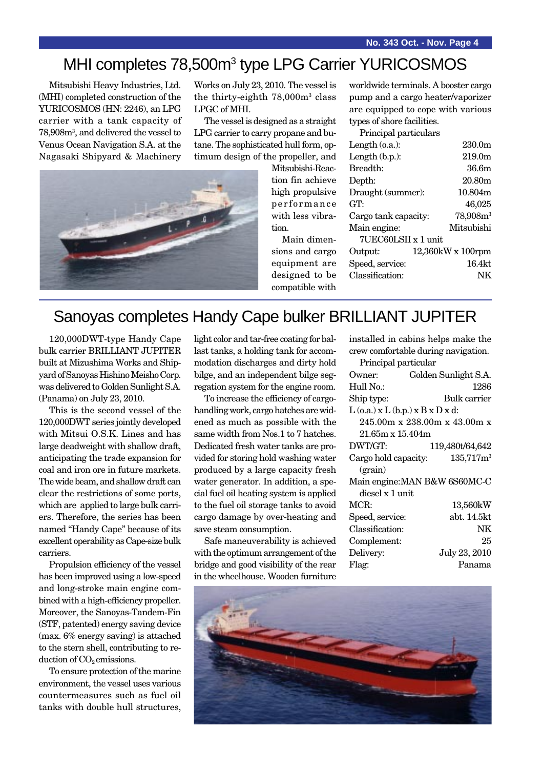# MHI completes 78,500m<sup>3</sup> type LPG Carrier YURICOSMOS

Mitsubishi Heavy Industries, Ltd. (MHI) completed construction of the YURICOSMOS (HN: 2246), an LPG carrier with a tank capacity of 78,908m3 , and delivered the vessel to Venus Ocean Navigation S.A. at the Nagasaki Shipyard & Machinery

Works on July 23, 2010. The vessel is the thirty-eighth 78,000m3 class LPGC of MHI.

The vessel is designed as a straight LPG carrier to carry propane and butane. The sophisticated hull form, optimum design of the propeller, and



Mitsubishi-Reaction fin achieve high propulsive performance with less vibration.

Main dimensions and cargo equipment are designed to be compatible with

worldwide terminals. A booster cargo pump and a cargo heater/vaporizer are equipped to cope with various types of shore facilities.

Principal particulars

| Length $(o.a.):$     | 230.0m             |  |  |  |
|----------------------|--------------------|--|--|--|
| Length $(b.p.):$     | 219.0 <sub>m</sub> |  |  |  |
| Breadth:             | 36.6m              |  |  |  |
| Depth:               | 20.80m             |  |  |  |
| Draught (summer):    | 10.804m            |  |  |  |
| GT:                  | 46,025             |  |  |  |
| Cargo tank capacity: | $78,908m^3$        |  |  |  |
| Main engine:         | Mitsubishi         |  |  |  |
| 7UEC60LSII x 1 unit  |                    |  |  |  |
| Output:              | 12,360kW x 100rpm  |  |  |  |
| Speed, service:      | $16.4$ kt          |  |  |  |
| Classification:      |                    |  |  |  |
|                      |                    |  |  |  |

# Sanoyas completes Handy Cape bulker BRILLIANT JUPITER

120,000DWT-type Handy Cape bulk carrier BRILLIANT JUPITER built at Mizushima Works and Shipyard of Sanoyas Hishino Meisho Corp. was delivered to Golden Sunlight S.A. (Panama) on July 23, 2010.

This is the second vessel of the 120,000DWT series jointly developed with Mitsui O.S.K. Lines and has large deadweight with shallow draft, anticipating the trade expansion for coal and iron ore in future markets. The wide beam, and shallow draft can clear the restrictions of some ports, which are applied to large bulk carriers. Therefore, the series has been named "Handy Cape" because of its excellent operability as Cape-size bulk carriers.

Propulsion efficiency of the vessel has been improved using a low-speed and long-stroke main engine combined with a high-efficiency propeller. Moreover, the Sanoyas-Tandem-Fin (STF, patented) energy saving device (max. 6% energy saving) is attached to the stern shell, contributing to reduction of  $CO<sub>2</sub>$  emissions.

To ensure protection of the marine environment, the vessel uses various countermeasures such as fuel oil tanks with double hull structures, light color and tar-free coating for ballast tanks, a holding tank for accommodation discharges and dirty hold bilge, and an independent bilge segregation system for the engine room.

To increase the efficiency of cargohandling work, cargo hatches are widened as much as possible with the same width from Nos.1 to 7 hatches. Dedicated fresh water tanks are provided for storing hold washing water produced by a large capacity fresh water generator. In addition, a special fuel oil heating system is applied to the fuel oil storage tanks to avoid cargo damage by over-heating and save steam consumption.

Safe maneuverability is achieved with the optimum arrangement of the bridge and good visibility of the rear in the wheelhouse. Wooden furniture installed in cabins helps make the crew comfortable during navigation.

| Principal particular                     |                                   |  |
|------------------------------------------|-----------------------------------|--|
| Owner:                                   | Golden Sunlight S.A.              |  |
| Hull No.:                                | 1286                              |  |
| Ship type:                               | Bulk carrier                      |  |
| $L$ (o.a.) x $L$ (b.p.) x $B$ x $D$ x d: |                                   |  |
|                                          | 245.00m x 238.00m x 43.00m x      |  |
| 21.65m x 15.404m                         |                                   |  |
| DWT/GT:                                  | 119,480t/64,642                   |  |
|                                          | Cargo hold capacity: $135,717m^3$ |  |
| (grain)                                  |                                   |  |
|                                          | Main engine: MAN B&W 6S60MC-C     |  |
| diesel x 1 unit                          |                                   |  |
| MCR:                                     | 13,560kW                          |  |
| Speed, service:                          | abt. 14.5kt                       |  |
| Classification:                          | NΚ                                |  |
| Complement:                              | 25                                |  |
| Delivery:                                | July 23, 2010                     |  |
| Flag:                                    | Panama                            |  |
|                                          |                                   |  |

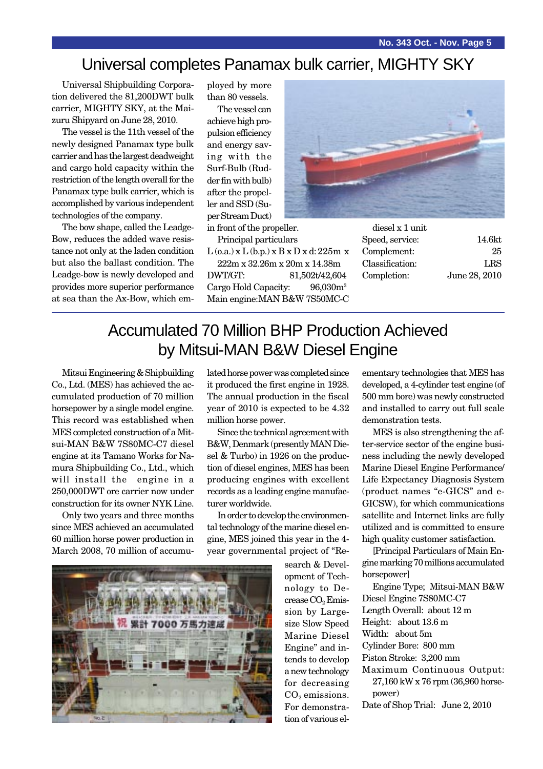**No. 343 Oct. - Nov. Page 5**

# Universal completes Panamax bulk carrier, MIGHTY SKY

Universal Shipbuilding Corporation delivered the 81,200DWT bulk carrier, MIGHTY SKY, at the Maizuru Shipyard on June 28, 2010.

The vessel is the 11th vessel of the newly designed Panamax type bulk carrier and has the largest deadweight and cargo hold capacity within the restriction of the length overall for the Panamax type bulk carrier, which is accomplished by various independent technologies of the company.

The bow shape, called the Leadge-Bow, reduces the added wave resistance not only at the laden condition but also the ballast condition. The Leadge-bow is newly developed and provides more superior performance at sea than the Ax-Bow, which employed by more than 80 vessels.

The vessel can achieve high propulsion efficiency and energy saving with the Surf-Bulb (Rudder fin with bulb) after the propeller and SSD (Super Stream Duct)

in front of the propeller. Principal particulars

 $L$  (o.a.)  $x L$  (b.p.)  $x B x D x d$ : 225m  $x$ 

222m x 32.26m x 20m x 14.38m DWT/GT: 81,502t/42,604 Cargo Hold Capacity: 96,030m<sup>3</sup> Main engine:MAN B&W 7S50MC-C



diesel x 1 unit Speed, service: 14.6kt Complement: 25 Classification: LRS Completion: June 28, 2010

# Accumulated 70 Million BHP Production Achieved by Mitsui-MAN B&W Diesel Engine

Mitsui Engineering & Shipbuilding Co., Ltd. (MES) has achieved the accumulated production of 70 million horsepower by a single model engine. This record was established when MES completed construction of a Mitsui-MAN B&W 7S80MC-C7 diesel engine at its Tamano Works for Namura Shipbuilding Co., Ltd., which will install the engine in a 250,000DWT ore carrier now under construction for its owner NYK Line.

Only two years and three months since MES achieved an accumulated 60 million horse power production in March 2008, 70 million of accumulated horse power was completed since it produced the first engine in 1928. The annual production in the fiscal year of 2010 is expected to be 4.32 million horse power.

Since the technical agreement with B&W, Denmark (presently MAN Diesel & Turbo) in 1926 on the production of diesel engines, MES has been producing engines with excellent records as a leading engine manufacturer worldwide.

In order to develop the environmental technology of the marine diesel engine, MES joined this year in the 4 year governmental project of "Re-



search & Development of Technology to Decrease CO<sub>2</sub> Emission by Largesize Slow Speed Marine Diesel Engine" and intends to develop a new technology for decreasing  $CO<sub>2</sub>$  emissions. For demonstration of various elementary technologies that MES has developed, a 4-cylinder test engine (of 500 mm bore) was newly constructed and installed to carry out full scale demonstration tests.

MES is also strengthening the after-service sector of the engine business including the newly developed Marine Diesel Engine Performance/ Life Expectancy Diagnosis System (product names "e-GICS" and e-GICSW), for which communications satellite and Internet links are fully utilized and is committed to ensure high quality customer satisfaction.

[Principal Particulars of Main Engine marking 70 millions accumulated horsepower]

Engine Type; Mitsui-MAN B&W Diesel Engine 7S80MC-C7 Length Overall: about 12 m Height: about 13.6 m Width: about 5m Cylinder Bore: 800 mm Piston Stroke: 3,200 mm Maximum Continuous Output: 27,160 kW x 76 rpm (36,960 horse-

power) Date of Shop Trial: June 2, 2010